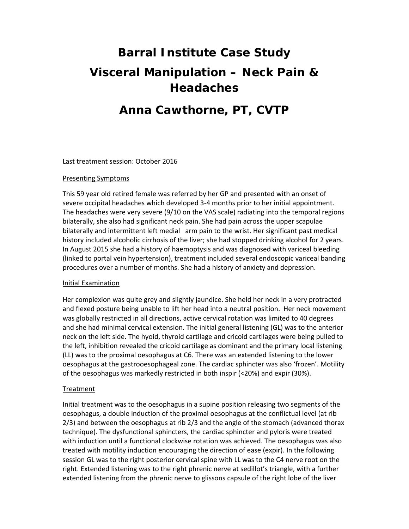# **Barral Institute Case Study Visceral Manipulation – Neck Pain & Headaches**

## **Anna Cawthorne, PT, CVTP**

Last treatment session: October 2016

#### Presenting Symptoms

This 59 year old retired female was referred by her GP and presented with an onset of severe occipital headaches which developed 3‐4 months prior to her initial appointment. The headaches were very severe (9/10 on the VAS scale) radiating into the temporal regions bilaterally, she also had significant neck pain. She had pain across the upper scapulae bilaterally and intermittent left medial arm pain to the wrist. Her significant past medical history included alcoholic cirrhosis of the liver; she had stopped drinking alcohol for 2 years. In August 2015 she had a history of haemoptysis and was diagnosed with variceal bleeding (linked to portal vein hypertension), treatment included several endoscopic variceal banding procedures over a number of months. She had a history of anxiety and depression.

### Initial Examination

Her complexion was quite grey and slightly jaundice. She held her neck in a very protracted and flexed posture being unable to lift her head into a neutral position. Her neck movement was globally restricted in all directions, active cervical rotation was limited to 40 degrees and she had minimal cervical extension. The initial general listening (GL) was to the anterior neck on the left side. The hyoid, thyroid cartilage and cricoid cartilages were being pulled to the left, inhibition revealed the cricoid cartilage as dominant and the primary local listening (LL) was to the proximal oesophagus at C6. There was an extended listening to the lower oesophagus at the gastrooesophageal zone. The cardiac sphincter was also 'frozen'. Motility of the oesophagus was markedly restricted in both inspir (<20%) and expir (30%).

### Treatment

Initial treatment was to the oesophagus in a supine position releasing two segments of the oesophagus, a double induction of the proximal oesophagus at the conflictual level (at rib 2/3) and between the oesophagus at rib 2/3 and the angle of the stomach (advanced thorax technique). The dysfunctional sphincters, the cardiac sphincter and pyloris were treated with induction until a functional clockwise rotation was achieved. The oesophagus was also treated with motility induction encouraging the direction of ease (expir). In the following session GL was to the right posterior cervical spine with LL was to the C4 nerve root on the right. Extended listening was to the right phrenic nerve at sedillot's triangle, with a further extended listening from the phrenic nerve to glissons capsule of the right lobe of the liver